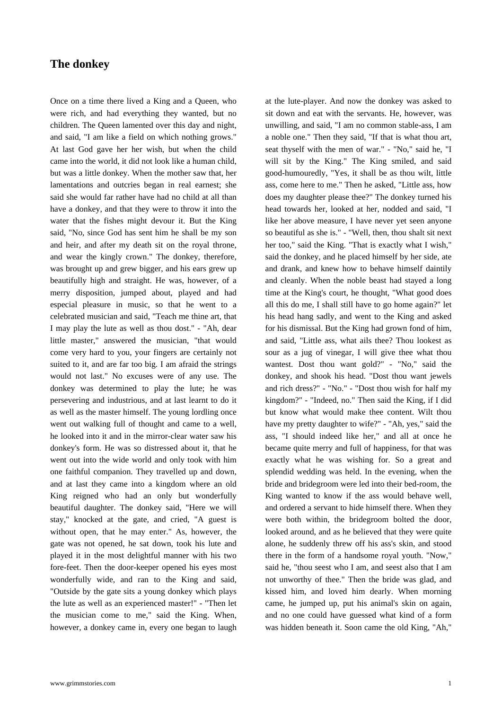## **The donkey**

[Once on a time th](https://www.grimmstories.com/en/grimm_fairy-tales/the_donkey)ere lived a King and a Queen, who were rich, and had everything they wanted, but no children. The Queen lamented over this day and night, and said, "I am like a field on which nothing grows." At last God gave her her wish, but when the child came into the world, it did not look like a human child, but was a little donkey. When the mother saw that, her lamentations and outcries began in real earnest; she said she would far rather have had no child at all than have a donkey, and that they were to throw it into the water that the fishes might devour it. But the King said, "No, since God has sent him he shall be my son and heir, and after my death sit on the royal throne, and wear the kingly crown." The donkey, therefore, was brought up and grew bigger, and his ears grew up beautifully high and straight. He was, however, of a merry disposition, jumped about, played and had especial pleasure in music, so that he went to a celebrated musician and said, "Teach me thine art, that I may play the lute as well as thou dost." - "Ah, dear little master," answered the musician, "that would come very hard to you, your fingers are certainly not suited to it, and are far too big. I am afraid the strings would not last." No excuses were of any use. The donkey was determined to play the lute; he was persevering and industrious, and at last learnt to do it as well as the master himself. The young lordling once went out walking full of thought and came to a well, he looked into it and in the mirror-clear water saw his donkey's form. He was so distressed about it, that he went out into the wide world and only took with him one faithful companion. They travelled up and down, and at last they came into a kingdom where an old King reigned who had an only but wonderfully beautiful daughter. The donkey said, "Here we will stay," knocked at the gate, and cried, "A guest is without open, that he may enter." As, however, the gate was not opened, he sat down, took his lute and played it in the most delightful manner with his two fore-feet. Then the door-keeper opened his eyes most wonderfully wide, and ran to the King and said, "Outside by the gate sits a young donkey which plays the lute as well as an experienced master!" - "Then let the musician come to me," said the King. When, however, a donkey came in, every one began to laugh at the lute-player. And now the donkey was asked to sit down and eat with the servants. He, however, was unwilling, and said, "I am no common stable-ass, I am a noble one." Then they said, "If that is what thou art, seat thyself with the men of war." - "No," said he, "I will sit by the King." The King smiled, and said good-humouredly, "Yes, it shall be as thou wilt, little ass, come here to me." Then he asked, "Little ass, how does my daughter please thee?" The donkey turned his head towards her, looked at her, nodded and said, "I like her above measure, I have never yet seen anyone so beautiful as she is." - "Well, then, thou shalt sit next her too," said the King. "That is exactly what I wish," said the donkey, and he placed himself by her side, ate and drank, and knew how to behave himself daintily and cleanly. When the noble beast had stayed a long time at the King's court, he thought, "What good does all this do me, I shall still have to go home again?" let his head hang sadly, and went to the King and asked for his dismissal. But the King had grown fond of him, and said, "Little ass, what ails thee? Thou lookest as sour as a jug of vinegar, I will give thee what thou wantest. Dost thou want gold?" - "No," said the donkey, and shook his head. "Dost thou want jewels and rich dress?" - "No." - "Dost thou wish for half my kingdom?" - "Indeed, no." Then said the King, if I did but know what would make thee content. Wilt thou have my pretty daughter to wife?" - "Ah, yes," said the ass, "I should indeed like her," and all at once he became quite merry and full of happiness, for that was exactly what he was wishing for. So a great and splendid wedding was held. In the evening, when the bride and bridegroom were led into their bed-room, the King wanted to know if the ass would behave well, and ordered a servant to hide himself there. When they were both within, the bridegroom bolted the door, looked around, and as he believed that they were quite alone, he suddenly threw off his ass's skin, and stood there in the form of a handsome royal youth. "Now," said he, "thou seest who I am, and seest also that I am not unworthy of thee." Then the bride was glad, and kissed him, and loved him dearly. When morning came, he jumped up, put his animal's skin on again, and no one could have guessed what kind of a form was hidden beneath it. Soon came the old King, "Ah,"